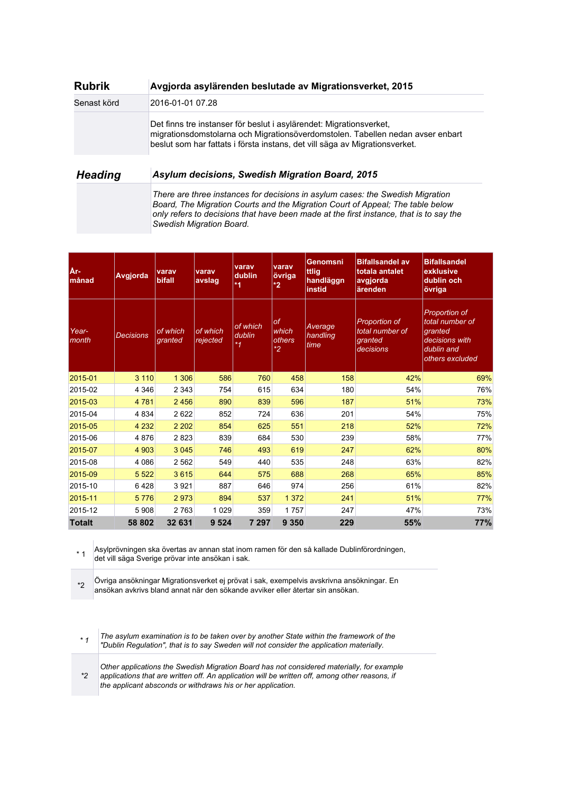| <b>Rubrik</b>  | Avgjorda asylärenden beslutade av Migrationsverket, 2015                                                                                                                                                                             |
|----------------|--------------------------------------------------------------------------------------------------------------------------------------------------------------------------------------------------------------------------------------|
| Senast körd    | 2016-01-01 07.28                                                                                                                                                                                                                     |
|                | Det finns tre instanser för beslut i asylärendet: Migrationsverket,<br>migrationsdomstolarna och Migrationsöverdomstolen. Tabellen nedan avser enbart<br>beslut som har fattats i första instans, det vill säga av Migrationsverket. |
| <b>Heading</b> | Asylum decisions, Swedish Migration Board, 2015                                                                                                                                                                                      |

*There are three instances for decisions in asylum cases: the Swedish Migration Board, The Migration Courts and the Migration Court of Appeal; The table below only refers to decisions that have been made at the first instance, that is to say the Swedish Migration Board.*

| År-<br>månad   | Avgjorda  | varav<br>bifall     | varav<br>avslag      | varav<br>dublin<br>$*1$       | varav<br>övriga<br>$*2$                 | Genomsni<br>ttlig<br>handläggn<br>instid | <b>Bifallsandel av</b><br>totala antalet<br>avgjorda<br>ärenden | <b>Bifallsandel</b><br>exklusive<br>dublin och<br>övriga                                       |
|----------------|-----------|---------------------|----------------------|-------------------------------|-----------------------------------------|------------------------------------------|-----------------------------------------------------------------|------------------------------------------------------------------------------------------------|
| Year-<br>month | Decisions | of which<br>granted | of which<br>rejected | of which<br>dublin<br>$*_{1}$ | <b>of</b><br>which<br>others<br>$*_{2}$ | Average<br>handling<br>time.             | Proportion of<br>total number of<br>granted<br>decisions        | Proportion of<br>total number of<br>granted<br>decisions with<br>dublin and<br>others excluded |
| 2015-01        | 3 1 1 0   | 1 3 0 6             | 586                  | 760                           | 458                                     | 158                                      | 42%                                                             | 69%                                                                                            |
| 2015-02        | 4 3 4 6   | 2 3 4 3             | 754                  | 615                           | 634                                     | 180                                      | 54%                                                             | 76%                                                                                            |
| 2015-03        | 4 7 8 1   | 2 4 5 6             | 890                  | 839                           | 596                                     | 187                                      | 51%                                                             | 73%                                                                                            |
| 2015-04        | 4 8 3 4   | 2622                | 852                  | 724                           | 636                                     | 201                                      | 54%                                                             | 75%                                                                                            |
| 2015-05        | 4 2 3 2   | 2 2 0 2             | 854                  | 625                           | 551                                     | 218                                      | 52%                                                             | 72%                                                                                            |
| 2015-06        | 4876      | 2823                | 839                  | 684                           | 530                                     | 239                                      | 58%                                                             | 77%                                                                                            |
| 2015-07        | 4 9 0 3   | 3 0 4 5             | 746                  | 493                           | 619                                     | 247                                      | 62%                                                             | 80%                                                                                            |
| 2015-08        | 4 0 8 6   | 2 5 6 2             | 549                  | 440                           | 535                                     | 248                                      | 63%                                                             | 82%                                                                                            |
| 2015-09        | 5 5 2 2   | 3615                | 644                  | 575                           | 688                                     | 268                                      | 65%                                                             | 85%                                                                                            |
| 2015-10        | 6428      | 3 9 2 1             | 887                  | 646                           | 974                                     | 256                                      | 61%                                                             | 82%                                                                                            |
| 2015-11        | 5776      | 2973                | 894                  | 537                           | 1 3 7 2                                 | 241                                      | 51%                                                             | 77%                                                                                            |
| 2015-12        | 5 9 0 8   | 2763                | 1 0 2 9              | 359                           | 1757                                    | 247                                      | 47%                                                             | 73%                                                                                            |
| <b>Totalt</b>  | 58 802    | 32 631              | 9 5 24               | 7 297                         | 9 3 5 0                                 | 229                                      | 55%                                                             | 77%                                                                                            |

\* 1 Asylprövningen ska övertas av annan stat inom ramen för den så kallade Dublinförordningen, det vill säga Sverige prövar inte ansökan i sak.

\*2 Övriga ansökningar Migrationsverket ej prövat i sak, exempelvis avskrivna ansökningar. En ansökan avkrivs bland annat när den sökande avviker eller återtar sin ansökan.

*\* 1 The asylum examination is to be taken over by another State within the framework of the "Dublin Regulation", that is to say Sweden will not consider the application materially.*

*\*2 Other applications the Swedish Migration Board has not considered materially, for example applications that are written off. An application will be written off, among other reasons, if the applicant absconds or withdraws his or her application.*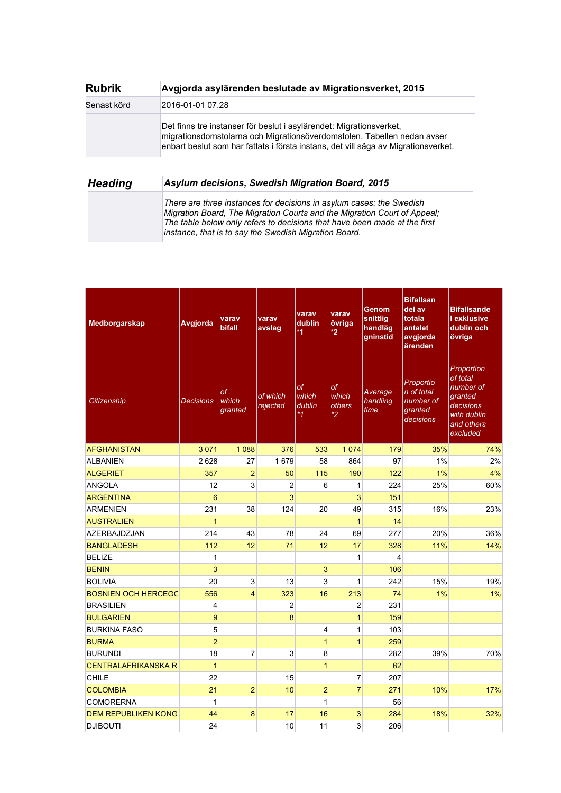| <b>Rubrik</b>  | Avgjorda asylärenden beslutade av Migrationsverket, 2015                                                                                                                                                                                                                               |
|----------------|----------------------------------------------------------------------------------------------------------------------------------------------------------------------------------------------------------------------------------------------------------------------------------------|
| Senast körd    | 2016-01-01 07.28                                                                                                                                                                                                                                                                       |
|                | Det finns tre instanser för beslut i asylärendet: Migrationsverket,<br>migrationsdomstolarna och Migrationsöverdomstolen. Tabellen nedan avser<br>enbart beslut som har fattats i första instans, det vill säga av Migrationsverket.                                                   |
| <b>Heading</b> | Asylum decisions, Swedish Migration Board, 2015                                                                                                                                                                                                                                        |
|                | There are three instances for decisions in asylum cases: the Swedish<br>Migration Board, The Migration Courts and the Migration Court of Appeal;<br>The table below only refers to decisions that have been made at the first<br>instance, that is to say the Swedish Migration Board. |

| Medborgarskap               | Avgjorda         | varav<br>bifall        | varav<br>avslag      | varav<br>dublin<br>$*1$          | varav<br>övriga<br>*2       | Genom<br>snittlig<br>handläg<br>gninstid | <b>Bifallsan</b><br>del av<br>totala<br>antalet<br>avgjorda<br>ärenden | <b>Bifallsande</b><br><b>I</b> exklusive<br>dublin och<br>övriga                                     |
|-----------------------------|------------------|------------------------|----------------------|----------------------------------|-----------------------------|------------------------------------------|------------------------------------------------------------------------|------------------------------------------------------------------------------------------------------|
| Citizenship                 | <b>Decisions</b> | of<br>which<br>granted | of which<br>rejected | of<br>which<br>dublin<br>$*_{1}$ | оf<br>which<br>others<br>*2 | Average<br>handling<br>time              | Proportio<br>n of total<br>number of<br>granted<br>decisions           | Proportion<br>of total<br>number of<br>granted<br>decisions<br>with dublin<br>and others<br>excluded |
| <b>AFGHANISTAN</b>          | 3 0 7 1          | 1 0 8 8                | 376                  | 533                              | 1 0 7 4                     | 179                                      | 35%                                                                    | 74%                                                                                                  |
| <b>ALBANIEN</b>             | 2628             | 27                     | 1679                 | 58                               | 864                         | 97                                       | 1%                                                                     | 2%                                                                                                   |
| <b>ALGERIET</b>             | 357              | $\overline{2}$         | 50                   | 115                              | 190                         | 122                                      | 1%                                                                     | 4%                                                                                                   |
| ANGOLA                      | 12               | 3                      | $\overline{2}$       | 6                                | $\mathbf{1}$                | 224                                      | 25%                                                                    | 60%                                                                                                  |
| <b>ARGENTINA</b>            | $6\phantom{1}6$  |                        | 3                    |                                  | 3                           | 151                                      |                                                                        |                                                                                                      |
| <b>ARMENIEN</b>             | 231              | 38                     | 124                  | 20                               | 49                          | 315                                      | 16%                                                                    | 23%                                                                                                  |
| <b>AUSTRALIEN</b>           | $\overline{1}$   |                        |                      |                                  | $\overline{1}$              | 14                                       |                                                                        |                                                                                                      |
| <b>AZERBAJDZJAN</b>         | 214              | 43                     | 78                   | 24                               | 69                          | 277                                      | 20%                                                                    | 36%                                                                                                  |
| <b>BANGLADESH</b>           | 112              | 12                     | 71                   | 12                               | 17                          | 328                                      | 11%                                                                    | 14%                                                                                                  |
| <b>BELIZE</b>               | $\mathbf{1}$     |                        |                      |                                  | $\mathbf{1}$                | $\overline{\mathbf{4}}$                  |                                                                        |                                                                                                      |
| <b>BENIN</b>                | 3                |                        |                      | 3                                |                             | 106                                      |                                                                        |                                                                                                      |
| <b>BOLIVIA</b>              | 20               | 3                      | 13                   | 3                                | 1                           | 242                                      | 15%                                                                    | 19%                                                                                                  |
| <b>BOSNIEN OCH HERCEGC</b>  | 556              | 4                      | 323                  | 16                               | 213                         | 74                                       | 1%                                                                     | 1%                                                                                                   |
| <b>BRASILIEN</b>            | 4                |                        | 2                    |                                  | $\overline{c}$              | 231                                      |                                                                        |                                                                                                      |
| <b>BULGARIEN</b>            | 9                |                        | 8                    |                                  | $\overline{1}$              | 159                                      |                                                                        |                                                                                                      |
| <b>BURKINA FASO</b>         | 5                |                        |                      | 4                                | 1                           | 103                                      |                                                                        |                                                                                                      |
| <b>BURMA</b>                | $\overline{2}$   |                        |                      | $\overline{1}$                   | $\overline{1}$              | 259                                      |                                                                        |                                                                                                      |
| <b>BURUNDI</b>              | 18               | 7                      | 3                    | 8                                |                             | 282                                      | 39%                                                                    | 70%                                                                                                  |
| <b>CENTRALAFRIKANSKA RI</b> | $\mathbf{1}$     |                        |                      | $\mathbf{1}$                     |                             | 62                                       |                                                                        |                                                                                                      |
| CHILE                       | 22               |                        | 15                   |                                  | $\overline{7}$              | 207                                      |                                                                        |                                                                                                      |
| <b>COLOMBIA</b>             | 21               | $\overline{2}$         | 10                   | $\overline{2}$                   | $\overline{7}$              | 271                                      | 10%                                                                    | 17%                                                                                                  |
| <b>COMORERNA</b>            | $\mathbf{1}$     |                        |                      | 1                                |                             | 56                                       |                                                                        |                                                                                                      |
| <b>DEM REPUBLIKEN KONG</b>  | 44               | 8                      | 17                   | 16                               | 3                           | 284                                      | 18%                                                                    | 32%                                                                                                  |
| <b>DJIBOUTI</b>             | 24               |                        | 10                   | 11                               | 3                           | 206                                      |                                                                        |                                                                                                      |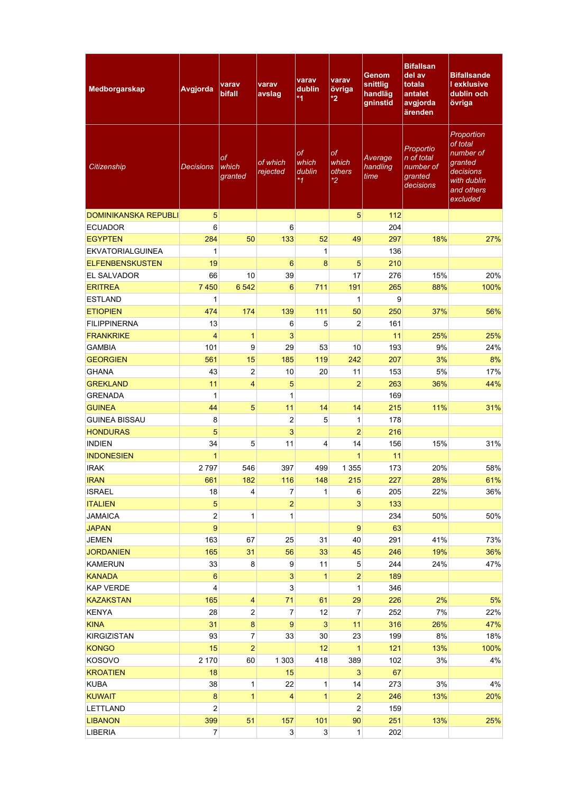| Medborgarskap               | Avgjorda         | varav<br>bifall         | varav<br>avslag      | varav<br>dublin<br>$*1$                 | varav<br>övriga<br>$*2$       | <b>Genom</b><br>snittlig<br>handläg<br>gninstid | <b>Bifallsan</b><br>del av<br>totala<br>antalet<br>avgjorda<br>ärenden | <b>Bifallsande</b><br><b>l</b> exklusive<br>dublin och<br>övriga                                     |
|-----------------------------|------------------|-------------------------|----------------------|-----------------------------------------|-------------------------------|-------------------------------------------------|------------------------------------------------------------------------|------------------------------------------------------------------------------------------------------|
| Citizenship                 | Decisions        | оf<br>which<br>granted  | of which<br>rejected | <b>of</b><br>which<br>dublin<br>$*_{1}$ | оf<br>which<br>others<br>$*2$ | Average<br>handling<br>time                     | Proportio<br>n of total<br>number of<br>granted<br>decisions           | Proportion<br>of total<br>number of<br>granted<br>decisions<br>with dublin<br>and others<br>excluded |
| <b>DOMINIKANSKA REPUBLI</b> | $\overline{5}$   |                         |                      |                                         | 5                             | 112                                             |                                                                        |                                                                                                      |
| <b>ECUADOR</b>              | 6                |                         | 6                    |                                         |                               | 204                                             |                                                                        |                                                                                                      |
| <b>EGYPTEN</b>              | 284              | 50                      | 133                  | 52                                      | 49                            | 297                                             | 18%                                                                    | 27%                                                                                                  |
| <b>EKVATORIALGUINEA</b>     | 1                |                         |                      | $\mathbf 1$                             |                               | 136                                             |                                                                        |                                                                                                      |
| <b>ELFENBENSKUSTEN</b>      | 19               |                         | 6                    | 8                                       | 5                             | 210                                             |                                                                        |                                                                                                      |
| <b>EL SALVADOR</b>          | 66               | 10                      | 39                   |                                         | 17                            | 276                                             | 15%                                                                    | 20%                                                                                                  |
| <b>ERITREA</b>              | 7450             | 6542                    | 6                    | 711                                     | 191                           | 265                                             | 88%                                                                    | 100%                                                                                                 |
| <b>ESTLAND</b>              | 1                |                         |                      |                                         | $\mathbf{1}$                  | 9                                               |                                                                        |                                                                                                      |
| <b>ETIOPIEN</b>             | 474              | 174                     | 139                  | 111                                     | 50                            | 250                                             | 37%                                                                    | 56%                                                                                                  |
| <b>FILIPPINERNA</b>         | 13               |                         | 6                    | 5                                       | $\overline{c}$                | 161                                             |                                                                        |                                                                                                      |
| <b>FRANKRIKE</b>            | $\overline{4}$   | $\mathbf{1}$            | 3                    |                                         |                               | 11                                              | 25%                                                                    | 25%                                                                                                  |
| <b>GAMBIA</b>               | 101              | 9                       | 29                   | 53                                      | 10                            | 193                                             | 9%                                                                     | 24%                                                                                                  |
| <b>GEORGIEN</b>             | 561              | 15                      | 185                  | 119                                     | 242                           | 207                                             | 3%                                                                     | 8%                                                                                                   |
| <b>GHANA</b>                | 43               | $\overline{c}$          | 10                   | 20                                      | 11                            | 153                                             | 5%                                                                     | 17%                                                                                                  |
| <b>GREKLAND</b>             | 11               | $\overline{4}$          | 5                    |                                         | $\overline{2}$                | 263                                             | 36%                                                                    | 44%                                                                                                  |
| <b>GRENADA</b>              | 1                |                         | 1                    |                                         |                               | 169                                             |                                                                        |                                                                                                      |
| <b>GUINEA</b>               | 44               | 5                       | 11                   | 14                                      | 14                            | 215                                             | 11%                                                                    | 31%                                                                                                  |
| <b>GUINEA BISSAU</b>        | 8                |                         | $\overline{c}$       | 5                                       | 1                             | 178                                             |                                                                        |                                                                                                      |
| <b>HONDURAS</b>             | 5                |                         | 3                    |                                         | $\overline{2}$                | 216                                             |                                                                        |                                                                                                      |
| <b>INDIEN</b>               | 34               | 5                       | 11                   | 4                                       | 14                            | 156                                             | 15%                                                                    | 31%                                                                                                  |
| <b>INDONESIEN</b>           | 1                |                         |                      |                                         | $\mathbf{1}$                  | 11                                              |                                                                        |                                                                                                      |
| <b>IRAK</b>                 | 2797             | 546                     | 397                  | 499                                     | 1 3 5 5                       | 173                                             | 20%                                                                    | 58%                                                                                                  |
| <b>IRAN</b>                 | 661              | 182                     | 116                  | 148                                     | 215                           | 227                                             | 28%                                                                    | 61%                                                                                                  |
| <b>ISRAEL</b>               | 18               | $\overline{4}$          | 7                    | $\mathbf{1}$                            | 6                             | 205                                             | 22%                                                                    | 36%                                                                                                  |
| <b>ITALIEN</b>              | 5                |                         | $\mathbf{2}$         |                                         | $\overline{3}$                | 133                                             |                                                                        |                                                                                                      |
| <b>JAMAICA</b>              | 2                | $\mathbf{1}$            | $\mathbf{1}$         |                                         |                               | 234                                             | 50%                                                                    | 50%                                                                                                  |
| <b>JAPAN</b>                | 9                |                         |                      |                                         | $\boldsymbol{9}$              | 63                                              |                                                                        |                                                                                                      |
| <b>JEMEN</b>                | 163              | 67                      | 25                   | 31                                      | 40                            | 291                                             | 41%                                                                    | 73%                                                                                                  |
| <b>JORDANIEN</b>            | 165              | 31                      | 56                   | 33                                      | 45                            | 246                                             | 19%                                                                    | 36%                                                                                                  |
| <b>KAMERUN</b>              | 33               | 8                       | 9                    | 11                                      | 5                             | 244                                             | 24%                                                                    | 47%                                                                                                  |
| <b>KANADA</b>               | $6\phantom{1}$   |                         | 3                    | $\mathbf{1}$                            | $\overline{2}$                | 189                                             |                                                                        |                                                                                                      |
| <b>KAP VERDE</b>            | 4                |                         | 3                    |                                         | $\mathbf{1}$                  | 346                                             |                                                                        |                                                                                                      |
| <b>KAZAKSTAN</b>            | 165              | $\overline{\mathbf{4}}$ | 71                   | 61                                      | 29                            | 226                                             | 2%                                                                     | 5%                                                                                                   |
| <b>KENYA</b>                | 28               | $\boldsymbol{2}$        | 7                    | 12                                      | 7                             | 252                                             | 7%                                                                     | 22%                                                                                                  |
| <b>KINA</b>                 | 31               | $\bf 8$                 | 9                    | $\mathbf{3}$                            | 11                            | 316                                             | 26%                                                                    | 47%                                                                                                  |
| <b>KIRGIZISTAN</b>          | 93               | $\overline{7}$          | 33                   | 30                                      | 23                            | 199                                             | 8%                                                                     | 18%                                                                                                  |
| <b>KONGO</b>                | 15               | $\overline{a}$          |                      | 12                                      | $\mathbf{1}$                  | 121                                             | 13%                                                                    | 100%                                                                                                 |
| <b>KOSOVO</b>               | 2 170            | 60                      | 1 3 0 3              | 418                                     | 389                           | 102                                             | 3%                                                                     | 4%                                                                                                   |
| <b>KROATIEN</b>             | 18               |                         | 15                   |                                         | $\mathbf{3}$                  | 67                                              |                                                                        |                                                                                                      |
| <b>KUBA</b>                 | 38               | $\mathbf{1}$            | 22                   | $\mathbf{1}$                            | 14                            | 273                                             | 3%                                                                     | 4%                                                                                                   |
| <b>KUWAIT</b>               | $\bf8$           | $\mathbf{1}$            | $\overline{4}$       | $\overline{1}$                          | $\overline{2}$                | 246                                             | 13%                                                                    | 20%                                                                                                  |
| LETTLAND                    | $\overline{c}$   |                         |                      |                                         | $\overline{c}$                | 159                                             |                                                                        |                                                                                                      |
| <b>LIBANON</b>              | 399              | 51                      | 157                  | 101                                     | 90                            | 251                                             | 13%                                                                    | 25%                                                                                                  |
| LIBERIA                     | $\boldsymbol{7}$ |                         | $\mathbf{3}$         | $\mathbf{3}$                            | $\mathbf{1}$                  | 202                                             |                                                                        |                                                                                                      |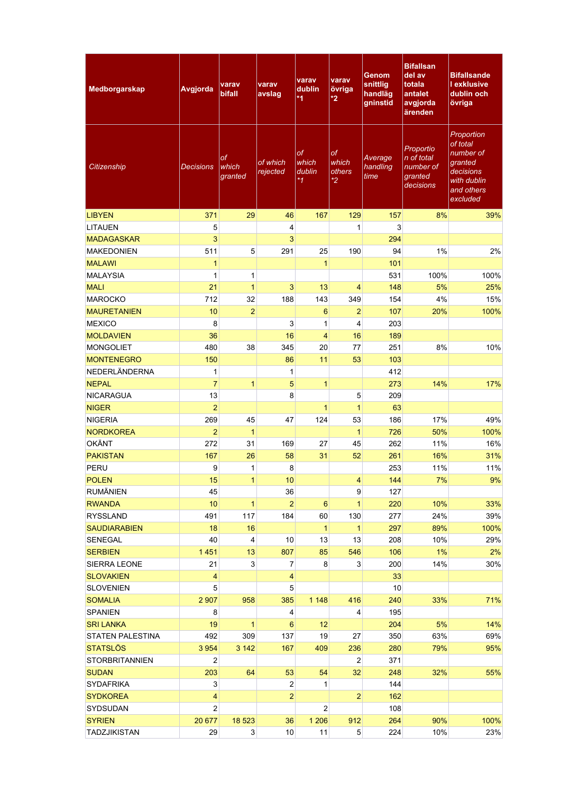| <b>Medborgarskap</b>                  | Avgjorda       | varav<br><b>bifall</b>        | varav<br>avslag         | varav<br>dublin<br>$*1$              | varav<br>övriga<br>$*2$          | Genom<br>snittlig<br>handläg<br>gninstid | <b>Bifallsan</b><br>del av<br>totala<br>antalet<br>avgjorda<br>ärenden | <b>Bifallsande</b><br><b>Lexklusive</b><br>dublin och<br>övriga                                      |
|---------------------------------------|----------------|-------------------------------|-------------------------|--------------------------------------|----------------------------------|------------------------------------------|------------------------------------------------------------------------|------------------------------------------------------------------------------------------------------|
| Citizenship                           | Decisions      | оf<br>which<br>granted        | of which<br>rejected    | <b>of</b><br>which<br>dublin<br>$*1$ | of<br>which<br>others<br>$*_{2}$ | Average<br>handling<br>time              | Proportio<br>n of total<br>number of<br>granted<br>decisions           | Proportion<br>of total<br>number of<br>granted<br>decisions<br>with dublin<br>and others<br>excluded |
| <b>LIBYEN</b>                         | 371            | 29                            | 46                      | 167                                  | 129                              | 157                                      | 8%                                                                     | 39%                                                                                                  |
| <b>LITAUEN</b>                        | 5              |                               | 4                       |                                      | 1                                | 3                                        |                                                                        |                                                                                                      |
| <b>MADAGASKAR</b>                     | 3              |                               | 3                       |                                      |                                  | 294                                      |                                                                        |                                                                                                      |
| <b>MAKEDONIEN</b>                     | 511            | 5                             | 291                     | 25                                   | 190                              | 94                                       | 1%                                                                     | 2%                                                                                                   |
| <b>MALAWI</b>                         | $\mathbf{1}$   |                               |                         | $\mathbf{1}$                         |                                  | 101                                      |                                                                        |                                                                                                      |
| <b>MALAYSIA</b>                       | 1              | 1                             |                         |                                      |                                  | 531                                      | 100%                                                                   | 100%                                                                                                 |
| <b>MALI</b>                           | 21             | $\overline{1}$                | 3                       | 13                                   | 4                                | 148                                      | 5%                                                                     | 25%                                                                                                  |
| <b>MAROCKO</b>                        | 712            | 32                            | 188                     | 143                                  | 349                              | 154                                      | 4%                                                                     | 15%                                                                                                  |
| <b>MAURETANIEN</b>                    | 10             | $\overline{2}$                |                         | 6                                    | $\overline{2}$                   | 107                                      | 20%                                                                    | 100%                                                                                                 |
| <b>MEXICO</b>                         | 8              |                               | 3                       | 1                                    | 4                                | 203                                      |                                                                        |                                                                                                      |
| <b>MOLDAVIEN</b>                      | 36             |                               | 16                      | $\overline{4}$                       | 16                               | 189                                      |                                                                        |                                                                                                      |
| <b>MONGOLIET</b>                      | 480            | 38                            | 345                     | 20                                   | 77                               | 251                                      | 8%                                                                     | 10%                                                                                                  |
| <b>MONTENEGRO</b>                     | 150            |                               | 86                      | 11                                   | 53                               | 103                                      |                                                                        |                                                                                                      |
| <b>NEDERLÄNDERNA</b>                  | 1              |                               | 1                       |                                      |                                  | 412                                      |                                                                        |                                                                                                      |
| <b>NEPAL</b>                          | $\overline{7}$ | 1                             | 5                       | $\overline{1}$                       |                                  | 273                                      | 14%                                                                    | 17%                                                                                                  |
| <b>NICARAGUA</b>                      | 13             |                               | 8                       |                                      | 5                                | 209                                      |                                                                        |                                                                                                      |
| <b>NIGER</b>                          | $\overline{2}$ |                               |                         | $\mathbf{1}$                         | $\mathbf{1}$                     | 63                                       |                                                                        |                                                                                                      |
| <b>NIGERIA</b>                        | 269            | 45                            | 47                      | 124                                  | 53                               | 186                                      | 17%                                                                    | 49%                                                                                                  |
| <b>NORDKOREA</b>                      | $\overline{2}$ | $\mathbf{1}$                  |                         |                                      | $\mathbf{1}$                     | 726                                      | 50%                                                                    | 100%                                                                                                 |
| <b>OKÄNT</b>                          | 272            | 31                            | 169                     | 27                                   | 45                               | 262                                      | 11%                                                                    | 16%                                                                                                  |
| <b>PAKISTAN</b>                       | 167            | 26                            | 58                      | 31                                   | 52                               | 261                                      | 16%                                                                    | 31%                                                                                                  |
| PERU                                  | 9              | 1                             | 8                       |                                      |                                  | 253                                      | 11%                                                                    | 11%                                                                                                  |
|                                       |                |                               | 10                      |                                      |                                  |                                          |                                                                        |                                                                                                      |
| <b>POLEN</b><br><b>RUMÄNIEN</b>       | 15<br>45       | 1                             | 36                      |                                      | 4<br>9                           | 144<br>127                               | 7%                                                                     | 9%                                                                                                   |
| <b>RWANDA</b>                         | 10             | $\mathbf{1}$                  | $\overline{2}$          | $\boldsymbol{6}$                     | $\overline{1}$                   |                                          | 10%                                                                    |                                                                                                      |
| <b>RYSSLAND</b>                       | 491            | 117                           |                         | 60                                   |                                  | 220                                      |                                                                        | 33%                                                                                                  |
|                                       |                |                               | 184                     | $\mathbf{1}$                         | 130                              | 277                                      | 24%                                                                    | 39%                                                                                                  |
| <b>SAUDIARABIEN</b><br><b>SENEGAL</b> | 18<br>40       | 16<br>$\overline{\mathbf{4}}$ | 10                      |                                      | $\mathbf{1}$<br>13               | 297                                      | 89%                                                                    | 100%                                                                                                 |
|                                       |                |                               |                         | 13                                   |                                  | 208                                      | 10%                                                                    | 29%                                                                                                  |
| <b>SERBIEN</b>                        | 1 4 5 1        | 13                            | 807                     | 85                                   | 546                              | 106                                      | 1%                                                                     | 2%                                                                                                   |
| SIERRA LEONE                          | 21             | 3 <sup>1</sup>                | 7                       | 8                                    | 3 <sup>1</sup>                   | 200                                      | 14%                                                                    | 30%                                                                                                  |
| <b>SLOVAKIEN</b>                      | 4              |                               | $\overline{\mathbf{4}}$ |                                      |                                  | 33                                       |                                                                        |                                                                                                      |
| <b>SLOVENIEN</b>                      | 5              |                               | 5                       |                                      |                                  | 10 <sup>1</sup>                          |                                                                        |                                                                                                      |
| <b>SOMALIA</b>                        | 2 9 0 7        | 958                           | 385                     | 1 1 4 8                              | 416                              | 240                                      | 33%                                                                    | 71%                                                                                                  |
| <b>SPANIEN</b>                        | 8              |                               | 4                       |                                      | 4                                | 195                                      |                                                                        |                                                                                                      |
| <b>SRI LANKA</b>                      | 19             | $\mathbf{1}$                  | $6\phantom{1}$          | 12                                   |                                  | 204                                      | 5%                                                                     | 14%                                                                                                  |
| <b>STATEN PALESTINA</b>               | 492            | 309                           | 137                     | 19                                   | 27                               | 350                                      | 63%                                                                    | 69%                                                                                                  |
| <b>STATSLÖS</b>                       | 3 9 5 4        | 3 1 4 2                       | 167                     | 409                                  | 236                              | 280                                      | 79%                                                                    | 95%                                                                                                  |
| <b>STORBRITANNIEN</b>                 | 2              |                               |                         |                                      | $\overline{2}$                   | 371                                      |                                                                        |                                                                                                      |
| <b>SUDAN</b>                          | 203            | 64                            | 53                      | 54                                   | 32                               | 248                                      | 32%                                                                    | 55%                                                                                                  |
| <b>SYDAFRIKA</b>                      | 3              |                               | $\overline{\mathbf{c}}$ | $\mathbf{1}$                         |                                  | 144                                      |                                                                        |                                                                                                      |
| <b>SYDKOREA</b>                       | 4              |                               | $\overline{2}$          |                                      | $\overline{2}$                   | 162                                      |                                                                        |                                                                                                      |
| SYDSUDAN                              | $\overline{2}$ |                               |                         | $\overline{2}$                       |                                  | 108                                      |                                                                        |                                                                                                      |
| <b>SYRIEN</b>                         | 20 677         | 18 5 23                       | 36                      | 1 2 0 6                              | 912                              | 264                                      | 90%                                                                    | 100%                                                                                                 |
| <b>TADZJIKISTAN</b>                   | 29             | $3\vert$                      | $10$                    | 11                                   | 5 <sub>5</sub>                   | 224                                      | 10%                                                                    | 23%                                                                                                  |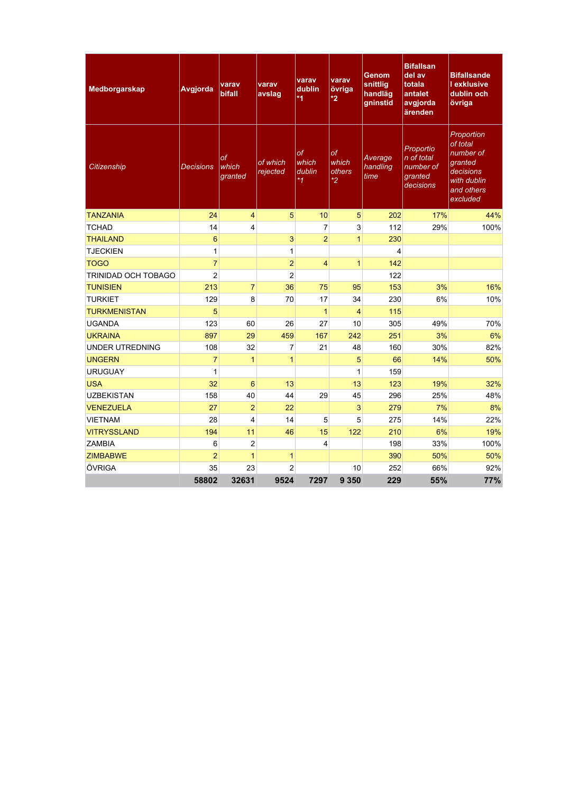| Medborgarskap          | Avgjorda         | varav<br><b>bifall</b> | varav<br>avslag      | varav<br>dublin<br>$*1$                 | varav<br>övriga<br>$\boldsymbol{z}$     | <b>Genom</b><br>snittlig<br>handläg<br>gninstid | <b>Bifallsan</b><br>del av<br>totala<br>antalet<br>avgjorda<br>ärenden | <b>Bifallsande</b><br><b>I</b> exklusive<br>dublin och<br>övriga                                     |
|------------------------|------------------|------------------------|----------------------|-----------------------------------------|-----------------------------------------|-------------------------------------------------|------------------------------------------------------------------------|------------------------------------------------------------------------------------------------------|
| Citizenship            | <b>Decisions</b> | оf<br>which<br>granted | of which<br>rejected | <b>of</b><br>which<br>dublin<br>$*_{1}$ | <b>of</b><br>which<br>others<br>$*_{2}$ | Average<br>handling<br>time                     | Proportio<br>n of total<br>number of<br>granted<br>decisions           | Proportion<br>of total<br>number of<br>granted<br>decisions<br>with dublin<br>and others<br>excluded |
| <b>TANZANIA</b>        | 24               | $\overline{4}$         | 5                    | 10                                      | 5                                       | 202                                             | 17%                                                                    | 44%                                                                                                  |
| <b>TCHAD</b>           | 14               | 4                      |                      | $\overline{7}$                          | 3                                       | 112                                             | 29%                                                                    | 100%                                                                                                 |
| <b>THAILAND</b>        | 6                |                        | 3                    | $\overline{2}$                          | $\mathbf{1}$                            | 230                                             |                                                                        |                                                                                                      |
| <b>TJECKIEN</b>        | $\mathbf{1}$     |                        | 1                    |                                         |                                         | 4                                               |                                                                        |                                                                                                      |
| <b>TOGO</b>            | $\overline{7}$   |                        | $\overline{a}$       | $\overline{4}$                          | $\mathbf{1}$                            | 142                                             |                                                                        |                                                                                                      |
| TRINIDAD OCH TOBAGO    | $\overline{c}$   |                        | $\overline{c}$       |                                         |                                         | 122                                             |                                                                        |                                                                                                      |
| <b>TUNISIEN</b>        | 213              | $\overline{7}$         | 36                   | 75                                      | 95                                      | 153                                             | 3%                                                                     | 16%                                                                                                  |
| <b>TURKIET</b>         | 129              | 8                      | 70                   | 17                                      | 34                                      | 230                                             | 6%                                                                     | 10%                                                                                                  |
| <b>TURKMENISTAN</b>    | 5                |                        |                      | $\mathbf{1}$                            | $\overline{\mathbf{4}}$                 | 115                                             |                                                                        |                                                                                                      |
| <b>UGANDA</b>          | 123              | 60                     | 26                   | 27                                      | 10                                      | 305                                             | 49%                                                                    | 70%                                                                                                  |
| <b>UKRAINA</b>         | 897              | 29                     | 459                  | 167                                     | 242                                     | 251                                             | 3%                                                                     | 6%                                                                                                   |
| <b>UNDER UTREDNING</b> | 108              | 32                     | 7                    | 21                                      | 48                                      | 160                                             | 30%                                                                    | 82%                                                                                                  |
| <b>UNGERN</b>          | $\overline{7}$   | $\mathbf{1}$           | $\mathbf{1}$         |                                         | 5                                       | 66                                              | 14%                                                                    | 50%                                                                                                  |
| <b>URUGUAY</b>         | $\mathbf{1}$     |                        |                      |                                         | $\mathbf{1}$                            | 159                                             |                                                                        |                                                                                                      |
| <b>USA</b>             | 32               | 6                      | 13                   |                                         | 13                                      | 123                                             | 19%                                                                    | 32%                                                                                                  |
| <b>UZBEKISTAN</b>      | 158              | 40                     | 44                   | 29                                      | 45                                      | 296                                             | 25%                                                                    | 48%                                                                                                  |
| <b>VENEZUELA</b>       | 27               | $\overline{2}$         | 22                   |                                         | 3                                       | 279                                             | 7%                                                                     | 8%                                                                                                   |
| <b>VIETNAM</b>         | 28               | 4                      | 14                   | 5                                       | $\overline{5}$                          | 275                                             | 14%                                                                    | 22%                                                                                                  |
| <b>VITRYSSLAND</b>     | 194              | 11                     | 46                   | 15                                      | 122                                     | 210                                             | 6%                                                                     | 19%                                                                                                  |
| <b>ZAMBIA</b>          | 6                | $\overline{c}$         |                      | 4                                       |                                         | 198                                             | 33%                                                                    | 100%                                                                                                 |
| <b>ZIMBABWE</b>        | $\overline{2}$   | $\mathbf{1}$           | 1                    |                                         |                                         | 390                                             | 50%                                                                    | 50%                                                                                                  |
| ÖVRIGA                 | 35               | 23                     | $\overline{2}$       |                                         | 10                                      | 252                                             | 66%                                                                    | 92%                                                                                                  |
|                        | 58802            | 32631                  | 9524                 | 7297                                    | 9 3 5 0                                 | 229                                             | 55%                                                                    | 77%                                                                                                  |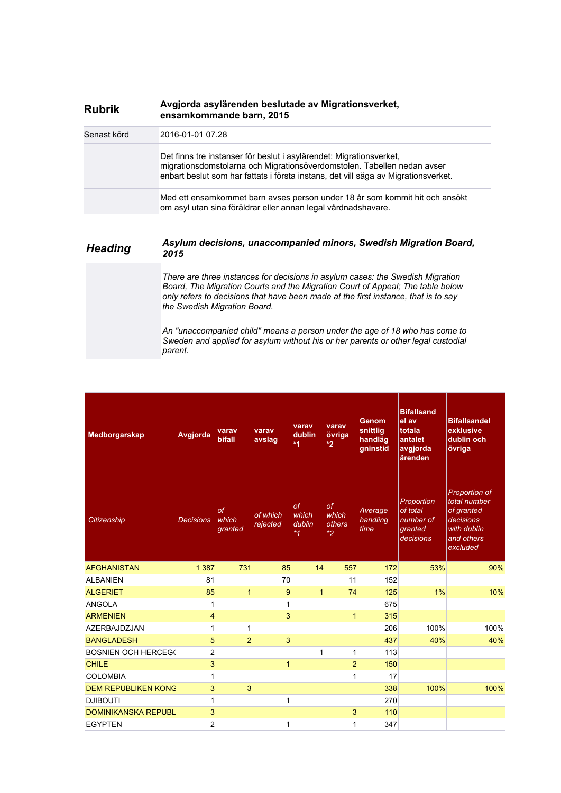| <b>Rubrik</b> | Avgjorda asylärenden beslutade av Migrationsverket,<br>ensamkommande barn, 2015                                                                                                                                                      |
|---------------|--------------------------------------------------------------------------------------------------------------------------------------------------------------------------------------------------------------------------------------|
| Senast körd   | 2016-01-01 07.28                                                                                                                                                                                                                     |
|               | Det finns tre instanser för beslut i asylärendet: Migrationsverket,<br>migrationsdomstolarna och Migrationsöverdomstolen. Tabellen nedan avser<br>enbart beslut som har fattats i första instans, det vill säga av Migrationsverket. |
|               | Med ett ensamkommet barn avses person under 18 år som kommit hit och ansökt<br>om asyl utan sina föräldrar eller annan legal vårdnadshavare.                                                                                         |

| <b>Heading</b> | Asylum decisions, unaccompanied minors, Swedish Migration Board,<br>2015                                                                                                                                                                                                               |
|----------------|----------------------------------------------------------------------------------------------------------------------------------------------------------------------------------------------------------------------------------------------------------------------------------------|
|                | There are three instances for decisions in asylum cases: the Swedish Migration<br>Board, The Migration Courts and the Migration Court of Appeal; The table below<br>only refers to decisions that have been made at the first instance, that is to say<br>the Swedish Migration Board. |
|                | An "unaccompanied child" means a person under the age of 18 who has come to<br>Sweden and applied for asylum without his or her parents or other legal custodial<br>parent.                                                                                                            |

| Medborgarskap              | Avgjorda         | varav<br><b>bifall</b>        | varav<br>avslag      | varav<br>dublin<br>$*1$                  | varav<br>övriga<br>$*2$                  | Genom<br>snittlig<br>handläg<br>gninstid | <b>Bifallsand</b><br>el av<br>totala<br>antalet<br>avgjorda<br>ärenden | <b>Bifallsandel</b><br>exklusive<br>dublin och<br>övriga                                                 |
|----------------------------|------------------|-------------------------------|----------------------|------------------------------------------|------------------------------------------|------------------------------------------|------------------------------------------------------------------------|----------------------------------------------------------------------------------------------------------|
| Citizenship                | <b>Decisions</b> | <b>of</b><br>which<br>granted | of which<br>rejected | $\sigma$ f<br>which<br>dublin<br>$*_{1}$ | $\sigma$ f<br>which<br>others<br>$*_{2}$ | Average<br>handling<br>time              | Proportion<br>of total<br>number of<br>granted<br>decisions            | <b>Proportion of</b><br>total number<br>of granted<br>decisions<br>with dublin<br>and others<br>excluded |
| <b>AFGHANISTAN</b>         | 1 3 8 7          | 731                           | 85                   | 14                                       | 557                                      | 172                                      | 53%                                                                    | 90%                                                                                                      |
| <b>ALBANIEN</b>            | 81               |                               | 70                   |                                          | 11                                       | 152                                      |                                                                        |                                                                                                          |
| <b>ALGERIET</b>            | 85               | 1                             | 9                    | $\mathbf{1}$                             | 74                                       | 125                                      | 1%                                                                     | 10%                                                                                                      |
| <b>ANGOLA</b>              | 1                |                               | $\mathbf{1}$         |                                          |                                          | 675                                      |                                                                        |                                                                                                          |
| <b>ARMENIEN</b>            | $\overline{4}$   |                               | 3                    |                                          | $\mathbf{1}$                             | 315                                      |                                                                        |                                                                                                          |
| <b>AZERBAJDZJAN</b>        | $\mathbf{1}$     | 1                             |                      |                                          |                                          | 206                                      | 100%                                                                   | 100%                                                                                                     |
| <b>BANGLADESH</b>          | 5                | $\overline{2}$                | 3                    |                                          |                                          | 437                                      | 40%                                                                    | 40%                                                                                                      |
| <b>BOSNIEN OCH HERCEG(</b> | $\overline{2}$   |                               |                      | 1                                        | 1                                        | 113                                      |                                                                        |                                                                                                          |
| <b>CHILE</b>               | $\mathbf{3}$     |                               | 1                    |                                          | $\overline{2}$                           | 150                                      |                                                                        |                                                                                                          |
| <b>COLOMBIA</b>            | 1                |                               |                      |                                          | 1                                        | 17                                       |                                                                        |                                                                                                          |
| <b>DEM REPUBLIKEN KONG</b> | 3                | 3                             |                      |                                          |                                          | 338                                      | 100%                                                                   | 100%                                                                                                     |
| <b>DJIBOUTI</b>            | 1                |                               | 1                    |                                          |                                          | 270                                      |                                                                        |                                                                                                          |
| <b>DOMINIKANSKA REPUBL</b> | 3                |                               |                      |                                          | 3                                        | 110                                      |                                                                        |                                                                                                          |
| <b>EGYPTEN</b>             | $\overline{2}$   |                               | 1                    |                                          | 1                                        | 347                                      |                                                                        |                                                                                                          |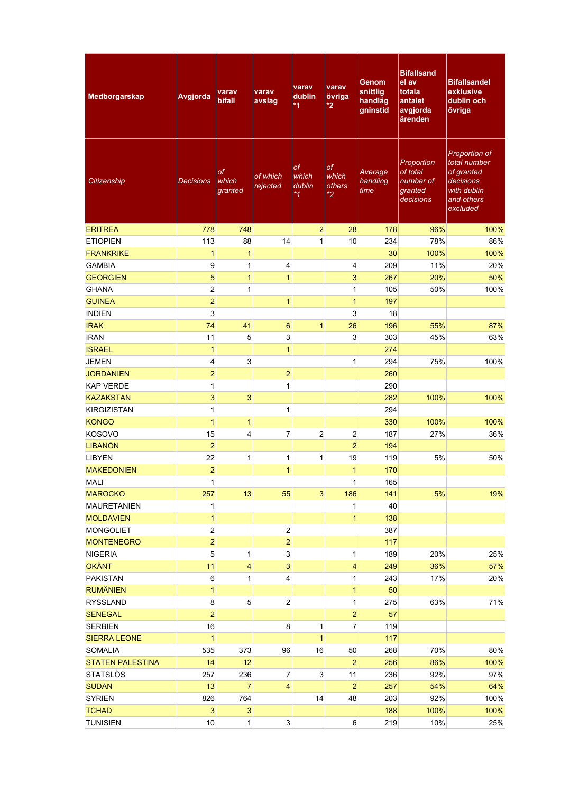| Medborgarskap                 | Avgjorda       | varav<br><b>bifall</b> | varav<br>avslag           | varav<br>dublin<br>*1       | varav<br>övriga<br>*2            | Genom<br>snittlig<br>handläg<br>gninstid | <b>Bifallsand</b><br>el av<br>totala<br>antalet<br>avgjorda<br>ärenden | <b>Bifallsandel</b><br>exklusive<br>dublin och<br>övriga                                          |
|-------------------------------|----------------|------------------------|---------------------------|-----------------------------|----------------------------------|------------------------------------------|------------------------------------------------------------------------|---------------------------------------------------------------------------------------------------|
| Citizenship                   | Decisions      | of<br>which<br>granted | of which<br>rejected      | of<br>which<br>dublin<br>*1 | of<br>which<br>others<br>$*_{2}$ | Average<br>handling<br>time              | Proportion<br>of total<br>number of<br>granted<br>decisions            | Proportion of<br>total number<br>of granted<br>decisions<br>with dublin<br>and others<br>excluded |
| <b>ERITREA</b>                | 778            | 748                    |                           | $\overline{2}$              | 28                               | 178                                      | 96%                                                                    | 100%                                                                                              |
| <b>ETIOPIEN</b>               | 113            | 88                     | 14                        | 1                           | 10                               | 234                                      | 78%                                                                    | 86%                                                                                               |
| <b>FRANKRIKE</b>              | $\mathbf{1}$   | $\mathbf{1}$           |                           |                             |                                  | 30                                       | 100%                                                                   | 100%                                                                                              |
| <b>GAMBIA</b>                 | 9              | $\mathbf 1$            | 4                         |                             | 4                                | 209                                      | 11%                                                                    | 20%                                                                                               |
| <b>GEORGIEN</b>               | 5              | $\mathbf{1}$           | $\mathbf{1}$              |                             | 3                                | 267                                      | 20%                                                                    | 50%                                                                                               |
| <b>GHANA</b>                  | $\overline{c}$ | $\mathbf{1}$           |                           |                             | $\mathbf{1}$                     | 105                                      | 50%                                                                    | 100%                                                                                              |
| <b>GUINEA</b>                 | $\overline{a}$ |                        | $\mathbf{1}$              |                             | $\mathbf{1}$                     | 197                                      |                                                                        |                                                                                                   |
| <b>INDIEN</b>                 | 3              |                        |                           |                             | 3                                | 18                                       |                                                                        |                                                                                                   |
| <b>IRAK</b>                   | 74             | 41                     | 6                         | $\mathbf{1}$                | 26                               | 196                                      | 55%                                                                    | 87%                                                                                               |
| <b>IRAN</b>                   | 11             | 5                      | 3                         |                             | 3                                | 303                                      | 45%                                                                    | 63%                                                                                               |
| <b>ISRAEL</b>                 | $\mathbf{1}$   |                        | $\mathbf{1}$              |                             |                                  | 274                                      |                                                                        |                                                                                                   |
| <b>JEMEN</b>                  | 4              | $\mathsf 3$            |                           |                             | $\mathbf{1}$                     | 294                                      | 75%                                                                    | 100%                                                                                              |
| <b>JORDANIEN</b>              | $\overline{2}$ |                        | $\overline{2}$            |                             |                                  | 260                                      |                                                                        |                                                                                                   |
| <b>KAP VERDE</b>              | 1              |                        | $\mathbf{1}$              |                             |                                  | 290                                      |                                                                        |                                                                                                   |
| <b>KAZAKSTAN</b>              | 3              | $\mathbf{3}$           |                           |                             |                                  | 282                                      | 100%                                                                   | 100%                                                                                              |
| <b>KIRGIZISTAN</b>            | $\mathbf{1}$   |                        | 1                         |                             |                                  | 294                                      |                                                                        |                                                                                                   |
| <b>KONGO</b>                  | $\mathbf{1}$   | $\mathbf{1}$           |                           |                             |                                  | 330                                      | 100%                                                                   | 100%                                                                                              |
| <b>KOSOVO</b>                 | 15             | 4                      | 7                         | $\overline{2}$              | 2                                | 187                                      | 27%                                                                    | 36%                                                                                               |
| <b>LIBANON</b>                | $\overline{a}$ |                        |                           |                             | $\overline{2}$                   | 194                                      |                                                                        |                                                                                                   |
| <b>LIBYEN</b>                 | 22             | $\mathbf{1}$           | 1                         | 1                           | 19                               | 119                                      | 5%                                                                     | 50%                                                                                               |
| <b>MAKEDONIEN</b>             | $\overline{2}$ |                        | $\mathbf{1}$              |                             | $\mathbf{1}$                     | 170                                      |                                                                        |                                                                                                   |
|                               |                |                        |                           |                             |                                  |                                          |                                                                        |                                                                                                   |
| <b>MALI</b><br><b>MAROCKO</b> | 1              | 13                     |                           | $\overline{3}$              | 1<br>186                         | 165<br>141                               | 5%                                                                     | 19%                                                                                               |
| <b>MAURETANIEN</b>            | 257<br>1       |                        | 55                        |                             | 1                                | 40                                       |                                                                        |                                                                                                   |
| <b>MOLDAVIEN</b>              | $\mathbf{1}$   |                        |                           |                             | $\mathbf{1}$                     | 138                                      |                                                                        |                                                                                                   |
| <b>MONGOLIET</b>              | $\overline{c}$ |                        | $\mathbf{2}$              |                             |                                  | 387                                      |                                                                        |                                                                                                   |
| <b>MONTENEGRO</b>             | $\overline{2}$ |                        | $\overline{a}$            |                             |                                  | 117                                      |                                                                        |                                                                                                   |
| <b>NIGERIA</b>                | 5              | $\mathbf{1}$           | $\ensuremath{\mathsf{3}}$ |                             | $\mathbf{1}$                     | 189                                      | 20%                                                                    | 25%                                                                                               |
| <b>OKÄNT</b>                  | 11             | $\overline{4}$         | 3                         |                             | 4                                | 249                                      | 36%                                                                    | 57%                                                                                               |
| <b>PAKISTAN</b>               | 6              | 1                      | 4                         |                             | 1                                | 243                                      | 17%                                                                    | 20%                                                                                               |
| <b>RUMÄNIEN</b>               | $\mathbf{1}$   |                        |                           |                             | $\mathbf{1}$                     | 50                                       |                                                                        |                                                                                                   |
| <b>RYSSLAND</b>               | 8              | $\mathbf 5$            | $\mathbf{2}$              |                             | 1                                | 275                                      | 63%                                                                    | 71%                                                                                               |
| <b>SENEGAL</b>                | $\overline{a}$ |                        |                           |                             | $\mathbf{2}$                     | 57                                       |                                                                        |                                                                                                   |
| <b>SERBIEN</b>                | 16             |                        | 8                         | 1                           | 7                                | 119                                      |                                                                        |                                                                                                   |
| <b>SIERRA LEONE</b>           | $\mathbf{1}$   |                        |                           | $\mathbf{1}$                |                                  | 117                                      |                                                                        |                                                                                                   |
| <b>SOMALIA</b>                |                |                        | 96                        | 16                          |                                  |                                          |                                                                        |                                                                                                   |
| <b>STATEN PALESTINA</b>       | 535<br>14      | 373<br>12              |                           |                             | 50<br>$\overline{2}$             | 268                                      | 70%<br>86%                                                             | 80%                                                                                               |
|                               |                |                        |                           |                             |                                  | 256                                      |                                                                        | 100%                                                                                              |
| <b>STATSLÖS</b>               | 257            | 236                    | $\overline{7}$            | 3 <sup>1</sup>              | 11                               | 236                                      | 92%                                                                    | 97%                                                                                               |
| <b>SUDAN</b>                  | 13             | $\overline{7}$         | 4                         |                             | 2 <sup>2</sup>                   | 257                                      | 54%                                                                    | 64%                                                                                               |
| <b>SYRIEN</b>                 | 826            | 764                    |                           | 14                          | 48                               | 203                                      | 92%                                                                    | 100%                                                                                              |
| <b>TCHAD</b>                  | 3              | $\mathsf 3$            |                           |                             |                                  | 188                                      | 100%                                                                   | 100%                                                                                              |
| <b>TUNISIEN</b>               | 10             | $\mathbf{1}$           | $\mathbf{3}$              |                             | $6 \mid$                         | 219                                      | 10%                                                                    | 25%                                                                                               |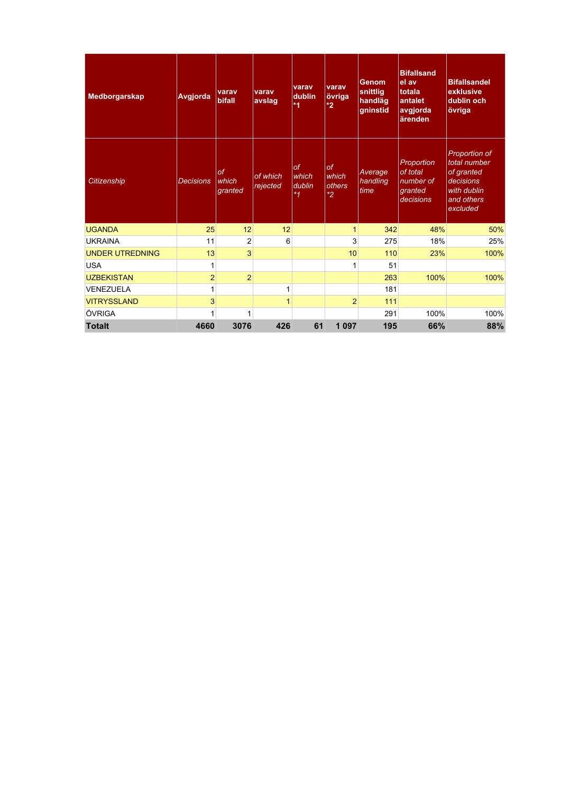| Medborgarskap          | Avgjorda         | varav<br>bifall               | varav<br>avslag      | varav<br>dublin<br>$*1$              | varav<br>övriga<br>$*2$          | <b>Genom</b><br>snittlig<br>handläg<br>gninstid | <b>Bifallsand</b><br>el av<br>totala<br>antalet<br>avgjorda<br>ärenden | <b>Bifallsandel</b><br>exklusive<br>dublin och<br>övriga                                                 |
|------------------------|------------------|-------------------------------|----------------------|--------------------------------------|----------------------------------|-------------------------------------------------|------------------------------------------------------------------------|----------------------------------------------------------------------------------------------------------|
| <b>Citizenship</b>     | <b>Decisions</b> | <b>of</b><br>which<br>granted | of which<br>rejected | <b>of</b><br>which<br>dublin<br>$*1$ | of<br>which<br>others<br>$*_{2}$ | Average<br>handling<br>time                     | Proportion<br>of total<br>number of<br>granted<br>decisions            | <b>Proportion of</b><br>total number<br>of granted<br>decisions<br>with dublin<br>and others<br>excluded |
| <b>UGANDA</b>          | 25               | 12                            | 12                   |                                      | $\mathbf{1}$                     | 342                                             | 48%                                                                    | 50%                                                                                                      |
| <b>UKRAINA</b>         | 11               | $\overline{2}$                | 6                    |                                      | 3                                | 275                                             | 18%                                                                    | 25%                                                                                                      |
| <b>UNDER UTREDNING</b> | 13               | $\overline{3}$                |                      |                                      | 10                               | 110                                             | 23%                                                                    | 100%                                                                                                     |
| <b>USA</b>             | 1                |                               |                      |                                      | $\mathbf{1}$                     | 51                                              |                                                                        |                                                                                                          |
| <b>UZBEKISTAN</b>      | $\overline{a}$   | $\overline{2}$                |                      |                                      |                                  | 263                                             | 100%                                                                   | 100%                                                                                                     |
| VENEZUELA              | 1                |                               | 1                    |                                      |                                  | 181                                             |                                                                        |                                                                                                          |
| <b>VITRYSSLAND</b>     | 3                |                               | 1                    |                                      | $\overline{2}$                   | 111                                             |                                                                        |                                                                                                          |
| ÖVRIGA                 | 1                | 1                             |                      |                                      |                                  | 291                                             | 100%                                                                   | 100%                                                                                                     |
| <b>Totalt</b>          | 4660             | 3076                          | 426                  | 61                                   | 1 0 9 7                          | 195                                             | 66%                                                                    | 88%                                                                                                      |